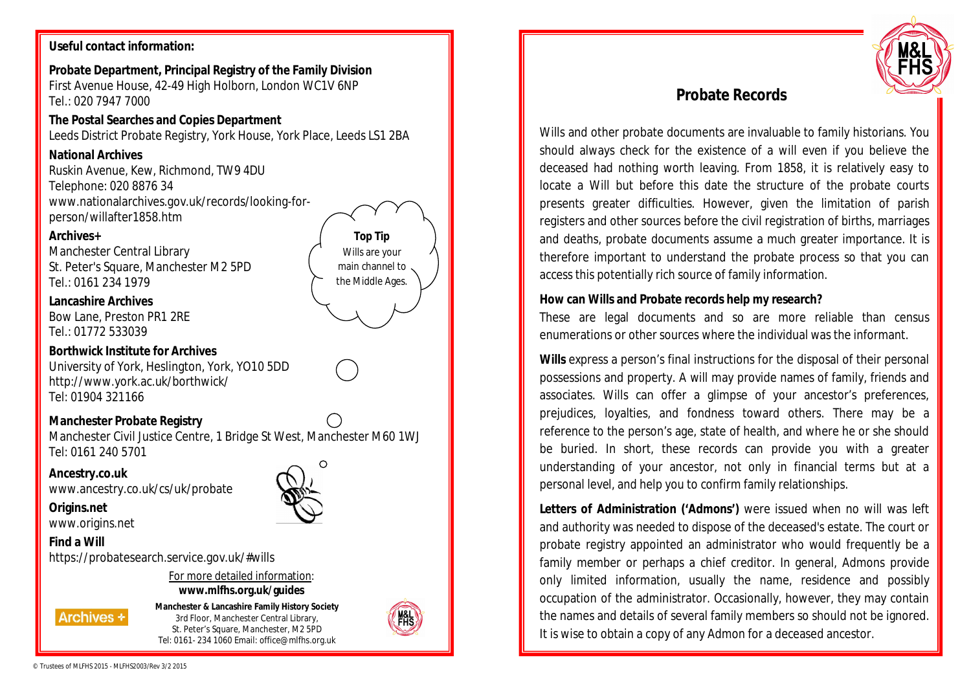## **Useful contact information:**

**Probate Department, Principal Registry of the Family Division**  First Avenue House, 42-49 High Holborn, London WC1V 6NP Tel.: 020 7947 7000

**The Postal Searches and Copies Department** Leeds District Probate Registry, York House, York Place, Leeds LS1 2BA

# **National Archives**

Ruskin Avenue, Kew, Richmond, TW9 4DU Telephone: 020 8876 34 www.nationalarchives.gov.uk/records/looking-forperson/willafter1858.htm

## **Archives+**

Manchester Central Library St. Peter's Square, Manchester M2 5PD Tel.: 0161 234 1979

**Lancashire Archives** Bow Lane, Preston PR1 2RE Tel.: 01772 533039

**Borthwick Institute for Archives** University of York, Heslington, York, YO10 5DD http://www.york.ac.uk/borthwick/ Tel: 01904 321166

**Manchester Probate Registry** Manchester Civil Justice Centre, 1 Bridge St West, Manchester M60 1WJ Tel: 0161 240 5701

**Ancestry.co.uk** www.ancestry.co.uk/cs/uk/probate

**Origins.net** www.origins.net

**Find a Will**

https://probatesearch.service.gov.uk/#wills

For more detailed information: **www.mlfhs.org.uk/guides**

**Archives +** 

**Manchester & Lancashire Family History Society** 3rd Floor, Manchester Central Library, St. Peter's Square, Manchester, M2 5PD Tel: 0161- 234 1060 Email: office@mlfhs.org.uk



**Top Tip** Wills are your main channel to the Middle Ages.



# **Probate Records**

Wills and other probate documents are invaluable to family historians. You should always check for the existence of a will even if you believe the deceased had nothing worth leaving. From 1858, it is relatively easy to locate a Will but before this date the structure of the probate courts presents greater difficulties. However, given the limitation of parish registers and other sources before the civil registration of births, marriages and deaths, probate documents assume a much greater importance. It is therefore important to understand the probate process so that you can access this potentially rich source of family information.

## **How can Wills and Probate records help my research?**

These are legal documents and so are more reliable than census enumerations or other sources where the individual was the informant.

**Wills** express a person's final instructions for the disposal of their personal possessions and property. A will may provide names of family, friends and associates. Wills can offer a glimpse of your ancestor's preferences, prejudices, loyalties, and fondness toward others. There may be a reference to the person's age, state of health, and where he or she should be buried. In short, these records can provide you with a greater understanding of your ancestor, not only in financial terms but at a personal level, and help you to confirm family relationships.

**Letters of Administration ('Admons')** were issued when no will was left and authority was needed to dispose of the deceased's estate. The court or probate registry appointed an administrator who would frequently be a family member or perhaps a chief creditor. In general, Admons provide only limited information, usually the name, residence and possibly occupation of the administrator. Occasionally, however, they may contain the names and details of several family members so should not be ignored. It is wise to obtain a copy of any Admon for a deceased ancestor.